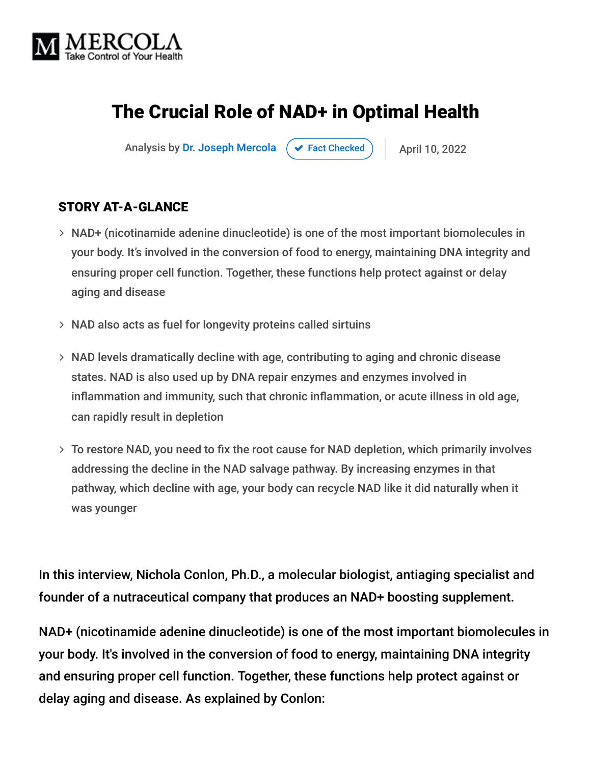

# The Crucial Role of NAD+ in Optimal Health

Analysis by [Dr. Joseph Mercola](https://www.mercola.com/forms/background.htm)  $\rightarrow$  [Fact Checked](javascript:void(0))  $\rightarrow$  April 10, 2022

#### STORY AT-A-GLANCE

- NAD+ (nicotinamide adenine dinucleotide) is one of the most important biomolecules in your body. It's involved in the conversion of food to energy, maintaining DNA integrity and ensuring proper cell function. Together, these functions help protect against or delay aging and disease
- $>$  NAD also acts as fuel for longevity proteins called sirtuins
- NAD levels dramatically decline with age, contributing to aging and chronic disease states. NAD is also used up by DNA repair enzymes and enzymes involved in inflammation and immunity, such that chronic inflammation, or acute illness in old age, can rapidly result in depletion
- To restore NAD, you need to fix the root cause for NAD depletion, which primarily involves addressing the decline in the NAD salvage pathway. By increasing enzymes in that pathway, which decline with age, your body can recycle NAD like it did naturally when it was younger

In this interview, Nichola Conlon, Ph.D., a molecular biologist, antiaging specialist and founder of a nutraceutical company that produces an NAD+ boosting supplement.

NAD+ (nicotinamide adenine dinucleotide) is one of the most important biomolecules in your body. It's involved in the conversion of food to energy, maintaining DNA integrity and ensuring proper cell function. Together, these functions help protect against or delay aging and disease. As explained by Conlon: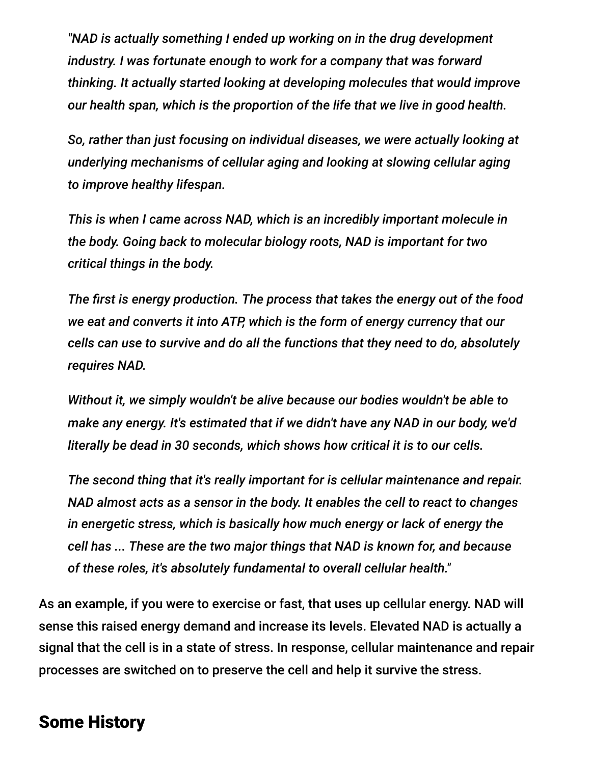*"NAD is actually something I ended up working on in the drug development industry. I was fortunate enough to work for a company that was forward thinking. It actually started looking at developing molecules that would improve our health span, which is the proportion of the life that we live in good health.*

*So, rather than just focusing on individual diseases, we were actually looking at underlying mechanisms of cellular aging and looking at slowing cellular aging to improve healthy lifespan.*

*This is when I came across NAD, which is an incredibly important molecule in the body. Going back to molecular biology roots, NAD is important for two critical things in the body.*

*The first is energy production. The process that takes the energy out of the food we eat and converts it into ATP, which is the form of energy currency that our cells can use to survive and do all the functions that they need to do, absolutely requires NAD.*

*Without it, we simply wouldn't be alive because our bodies wouldn't be able to make any energy. It's estimated that if we didn't have any NAD in our body, we'd literally be dead in 30 seconds, which shows how critical it is to our cells.*

*The second thing that it's really important for is cellular maintenance and repair. NAD almost acts as a sensor in the body. It enables the cell to react to changes in energetic stress, which is basically how much energy or lack of energy the cell has ... These are the two major things that NAD is known for, and because of these roles, it's absolutely fundamental to overall cellular health."*

As an example, if you were to exercise or fast, that uses up cellular energy. NAD will sense this raised energy demand and increase its levels. Elevated NAD is actually a signal that the cell is in a state of stress. In response, cellular maintenance and repair processes are switched on to preserve the cell and help it survive the stress.

#### Some History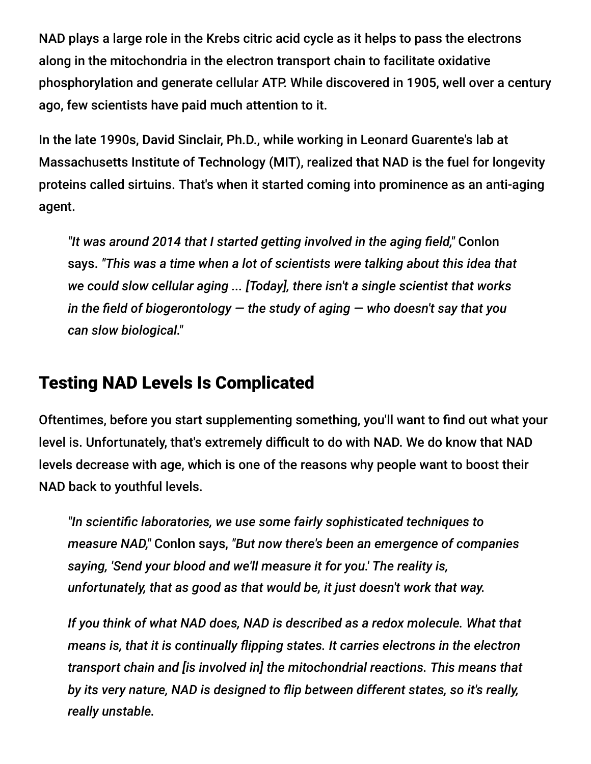NAD plays a large role in the Krebs citric acid cycle as it helps to pass the electrons along in the mitochondria in the electron transport chain to facilitate oxidative phosphorylation and generate cellular ATP. While discovered in 1905, well over a century ago, few scientists have paid much attention to it.

In the late 1990s, David Sinclair, Ph.D., while working in Leonard Guarente's lab at Massachusetts Institute of Technology (MIT), realized that NAD is the fuel for longevity proteins called sirtuins. That's when it started coming into prominence as an anti-aging agent.

*"It was around 2014 that I started getting involved in the aging field,"* Conlon says. *"This was a time when a lot of scientists were talking about this idea that we could slow cellular aging ... [Today], there isn't a single scientist that works in the field of biogerontology — the study of aging — who doesn't say that you can slow biological."*

#### Testing NAD Levels Is Complicated

Oftentimes, before you start supplementing something, you'll want to find out what your level is. Unfortunately, that's extremely difficult to do with NAD. We do know that NAD levels decrease with age, which is one of the reasons why people want to boost their NAD back to youthful levels.

*"In scientific laboratories, we use some fairly sophisticated techniques to measure NAD,"* Conlon says, *"But now there's been an emergence of companies saying, 'Send your blood and we'll measure it for you.' The reality is, unfortunately, that as good as that would be, it just doesn't work that way.*

*If you think of what NAD does, NAD is described as a redox molecule. What that means is, that it is continually flipping states. It carries electrons in the electron transport chain and [is involved in] the mitochondrial reactions. This means that by its very nature, NAD is designed to flip between different states, so it's really, really unstable.*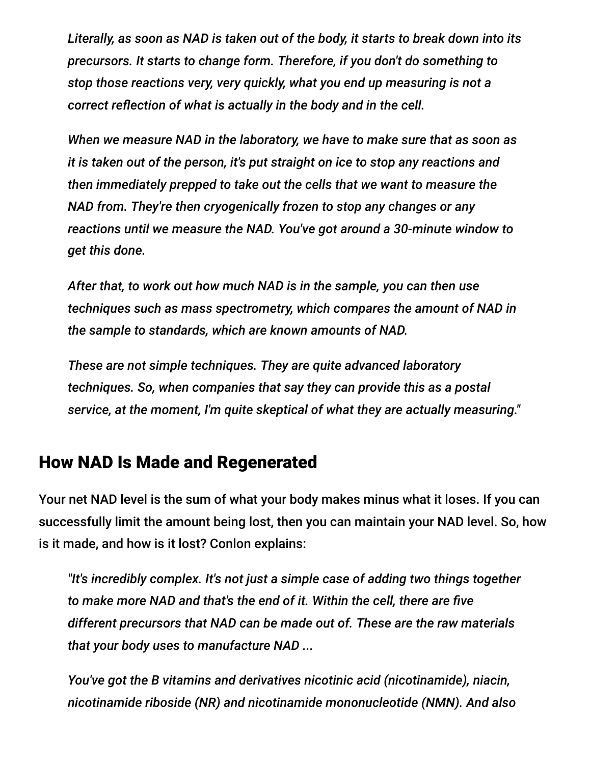*Literally, as soon as NAD is taken out of the body, it starts to break down into its precursors. It starts to change form. Therefore, if you don't do something to stop those reactions very, very quickly, what you end up measuring is not a correct reflection of what is actually in the body and in the cell.*

*When we measure NAD in the laboratory, we have to make sure that as soon as it is taken out of the person, it's put straight on ice to stop any reactions and then immediately prepped to take out the cells that we want to measure the NAD from. They're then cryogenically frozen to stop any changes or any reactions until we measure the NAD. You've got around a 30-minute window to get this done.*

*After that, to work out how much NAD is in the sample, you can then use techniques such as mass spectrometry, which compares the amount of NAD in the sample to standards, which are known amounts of NAD.*

*These are not simple techniques. They are quite advanced laboratory techniques. So, when companies that say they can provide this as a postal service, at the moment, I'm quite skeptical of what they are actually measuring."*

#### How NAD Is Made and Regenerated

Your net NAD level is the sum of what your body makes minus what it loses. If you can successfully limit the amount being lost, then you can maintain your NAD level. So, how is it made, and how is it lost? Conlon explains:

*"It's incredibly complex. It's not just a simple case of adding two things together to make more NAD and that's the end of it. Within the cell, there are five different precursors that NAD can be made out of. These are the raw materials that your body uses to manufacture NAD ...*

*You've got the B vitamins and derivatives nicotinic acid (nicotinamide), niacin, nicotinamide riboside (NR) and nicotinamide mononucleotide (NMN). And also*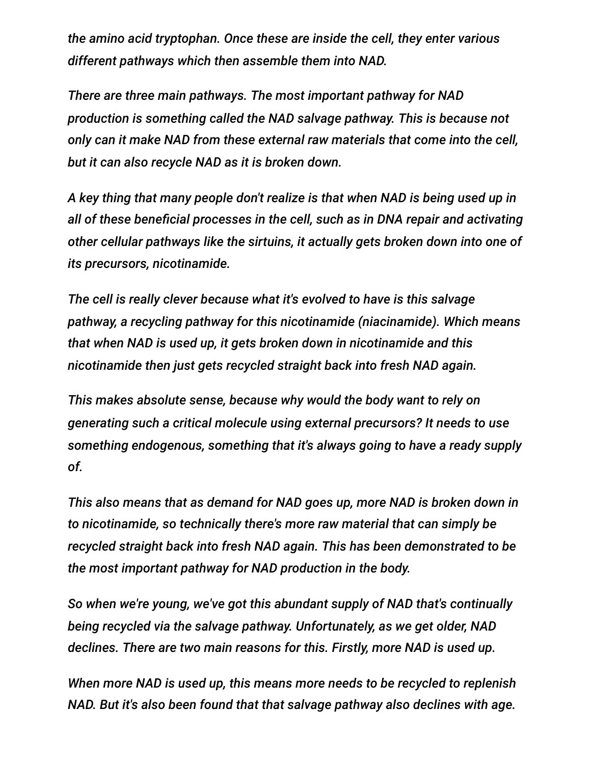*the amino acid tryptophan. Once these are inside the cell, they enter various different pathways which then assemble them into NAD.*

*There are three main pathways. The most important pathway for NAD production is something called the NAD salvage pathway. This is because not only can it make NAD from these external raw materials that come into the cell, but it can also recycle NAD as it is broken down.*

*A key thing that many people don't realize is that when NAD is being used up in all of these beneficial processes in the cell, such as in DNA repair and activating other cellular pathways like the sirtuins, it actually gets broken down into one of its precursors, nicotinamide.*

*The cell is really clever because what it's evolved to have is this salvage pathway, a recycling pathway for this nicotinamide (niacinamide). Which means that when NAD is used up, it gets broken down in nicotinamide and this nicotinamide then just gets recycled straight back into fresh NAD again.*

*This makes absolute sense, because why would the body want to rely on generating such a critical molecule using external precursors? It needs to use something endogenous, something that it's always going to have a ready supply of.*

*This also means that as demand for NAD goes up, more NAD is broken down in to nicotinamide, so technically there's more raw material that can simply be recycled straight back into fresh NAD again. This has been demonstrated to be the most important pathway for NAD production in the body.*

*So when we're young, we've got this abundant supply of NAD that's continually being recycled via the salvage pathway. Unfortunately, as we get older, NAD declines. There are two main reasons for this. Firstly, more NAD is used up.*

*When more NAD is used up, this means more needs to be recycled to replenish NAD. But it's also been found that that salvage pathway also declines with age.*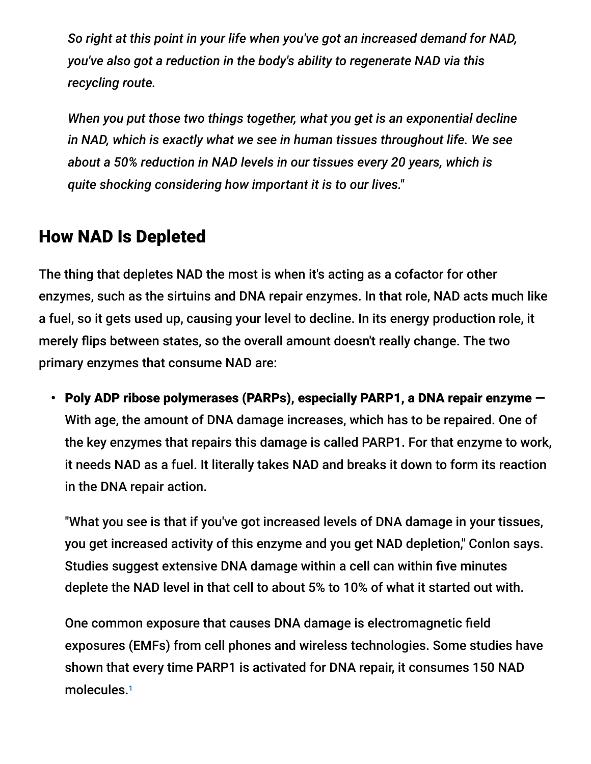*So right at this point in your life when you've got an increased demand for NAD, you've also got a reduction in the body's ability to regenerate NAD via this recycling route.*

*When you put those two things together, what you get is an exponential decline in NAD, which is exactly what we see in human tissues throughout life. We see about a 50% reduction in NAD levels in our tissues every 20 years, which is quite shocking considering how important it is to our lives."*

#### How NAD Is Depleted

The thing that depletes NAD the most is when it's acting as a cofactor for other enzymes, such as the sirtuins and DNA repair enzymes. In that role, NAD acts much like a fuel, so it gets used up, causing your level to decline. In its energy production role, it merely flips between states, so the overall amount doesn't really change. The two primary enzymes that consume NAD are:

• Poly ADP ribose polymerases (PARPs), especially PARP1, a DNA repair enzyme — With age, the amount of DNA damage increases, which has to be repaired. One of the key enzymes that repairs this damage is called PARP1. For that enzyme to work, it needs NAD as a fuel. It literally takes NAD and breaks it down to form its reaction in the DNA repair action.

"What you see is that if you've got increased levels of DNA damage in your tissues, you get increased activity of this enzyme and you get NAD depletion," Conlon says. Studies suggest extensive DNA damage within a cell can within five minutes deplete the NAD level in that cell to about 5% to 10% of what it started out with.

One common exposure that causes DNA damage is electromagnetic field exposures (EMFs) from cell phones and wireless technologies. Some studies have shown that every time PARP1 is activated for DNA repair, it consumes 150 NAD molecules.<sup>1</sup>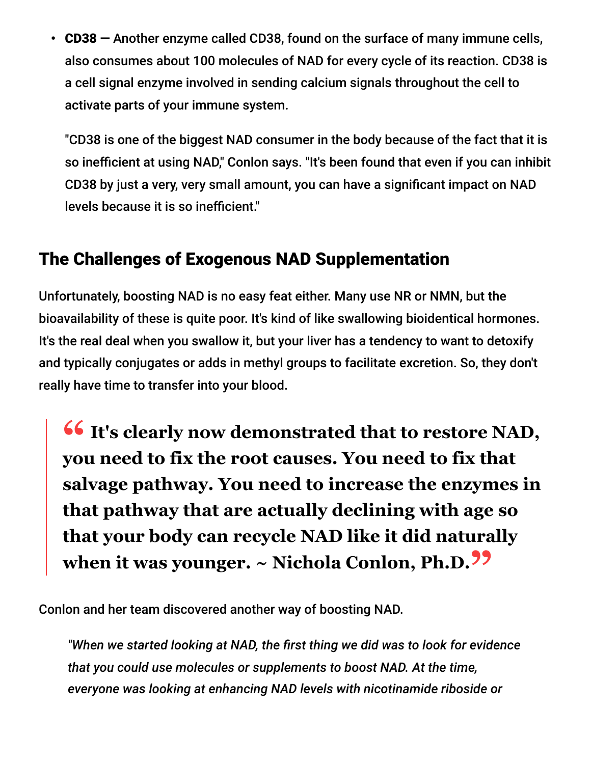• CD38 — Another enzyme called CD38, found on the surface of many immune cells, also consumes about 100 molecules of NAD for every cycle of its reaction. CD38 is a cell signal enzyme involved in sending calcium signals throughout the cell to activate parts of your immune system.

"CD38 is one of the biggest NAD consumer in the body because of the fact that it is so inefficient at using NAD," Conlon says. "It's been found that even if you can inhibit CD38 by just a very, very small amount, you can have a significant impact on NAD levels because it is so inefficient."

#### The Challenges of Exogenous NAD Supplementation

Unfortunately, boosting NAD is no easy feat either. Many use NR or NMN, but the bioavailability of these is quite poor. It's kind of like swallowing bioidentical hormones. It's the real deal when you swallow it, but your liver has a tendency to want to detoxify and typically conjugates or adds in methyl groups to facilitate excretion. So, they don't really have time to transfer into your blood.

**11**'s clearly now demonstrated that to restore NAD,<br>
<u>Vou need to fix the root causes.</u> You need to fix that **you need to fix the root causes. You need to fix that salvage pathway. You need to increase the enzymes in that pathway that are actually declining with age so that your body can recycle NAD like it did naturally when it was younger. ~ Nichola Conlon, Ph.D."**

Conlon and her team discovered another way of boosting NAD.

*"When we started looking at NAD, the first thing we did was to look for evidence that you could use molecules or supplements to boost NAD. At the time, everyone was looking at enhancing NAD levels with nicotinamide riboside or*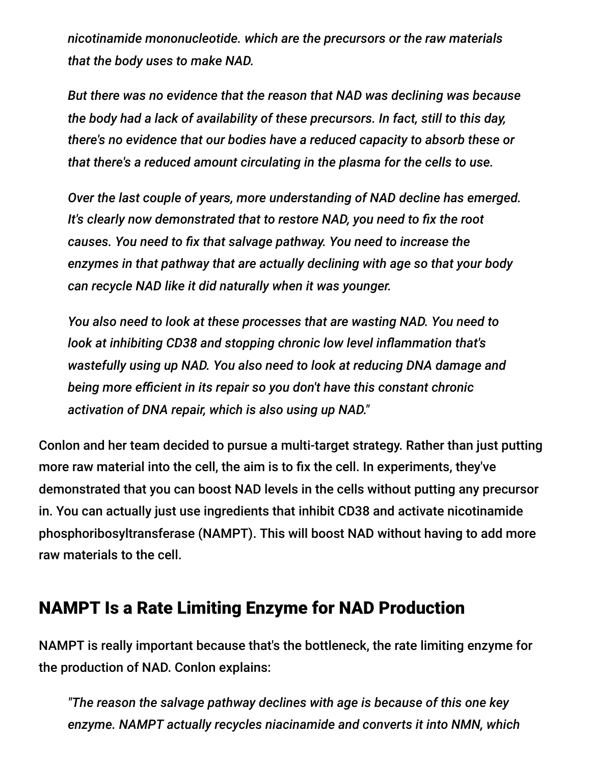*nicotinamide mononucleotide. which are the precursors or the raw materials that the body uses to make NAD.*

*But there was no evidence that the reason that NAD was declining was because the body had a lack of availability of these precursors. In fact, still to this day, there's no evidence that our bodies have a reduced capacity to absorb these or that there's a reduced amount circulating in the plasma for the cells to use.*

*Over the last couple of years, more understanding of NAD decline has emerged. It's clearly now demonstrated that to restore NAD, you need to fix the root causes. You need to fix that salvage pathway. You need to increase the enzymes in that pathway that are actually declining with age so that your body can recycle NAD like it did naturally when it was younger.*

*You also need to look at these processes that are wasting NAD. You need to look at inhibiting CD38 and stopping chronic low level inflammation that's wastefully using up NAD. You also need to look at reducing DNA damage and being more efficient in its repair so you don't have this constant chronic activation of DNA repair, which is also using up NAD."*

Conlon and her team decided to pursue a multi-target strategy. Rather than just putting more raw material into the cell, the aim is to fix the cell. In experiments, they've demonstrated that you can boost NAD levels in the cells without putting any precursor in. You can actually just use ingredients that inhibit CD38 and activate nicotinamide phosphoribosyltransferase (NAMPT). This will boost NAD without having to add more raw materials to the cell.

#### NAMPT Is a Rate Limiting Enzyme for NAD Production

NAMPT is really important because that's the bottleneck, the rate limiting enzyme for the production of NAD. Conlon explains:

*"The reason the salvage pathway declines with age is because of this one key enzyme. NAMPT actually recycles niacinamide and converts it into NMN, which*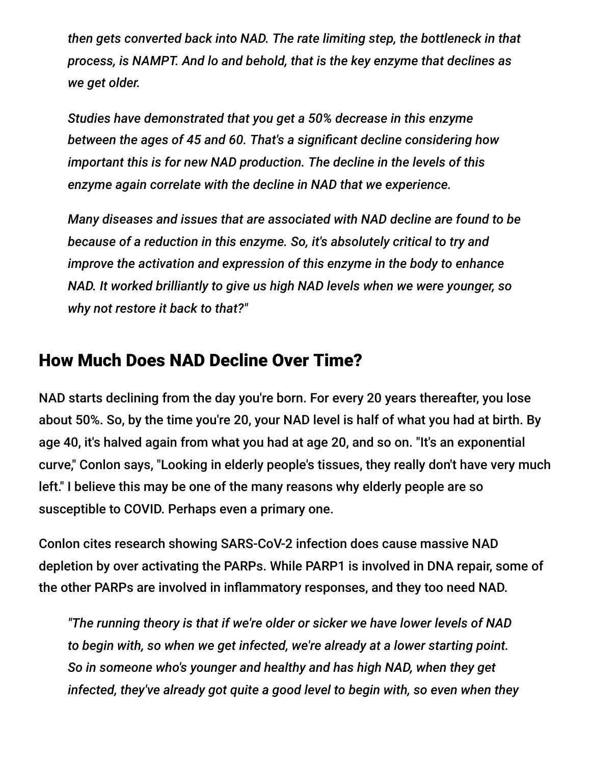*then gets converted back into NAD. The rate limiting step, the bottleneck in that process, is NAMPT. And lo and behold, that is the key enzyme that declines as we get older.*

*Studies have demonstrated that you get a 50% decrease in this enzyme between the ages of 45 and 60. That's a significant decline considering how important this is for new NAD production. The decline in the levels of this enzyme again correlate with the decline in NAD that we experience.*

*Many diseases and issues that are associated with NAD decline are found to be because of a reduction in this enzyme. So, it's absolutely critical to try and improve the activation and expression of this enzyme in the body to enhance NAD. It worked brilliantly to give us high NAD levels when we were younger, so why not restore it back to that?"*

#### How Much Does NAD Decline Over Time?

NAD starts declining from the day you're born. For every 20 years thereafter, you lose about 50%. So, by the time you're 20, your NAD level is half of what you had at birth. By age 40, it's halved again from what you had at age 20, and so on. "It's an exponential curve," Conlon says, "Looking in elderly people's tissues, they really don't have very much left." I believe this may be one of the many reasons why elderly people are so susceptible to COVID. Perhaps even a primary one.

Conlon cites research showing SARS-CoV-2 infection does cause massive NAD depletion by over activating the PARPs. While PARP1 is involved in DNA repair, some of the other PARPs are involved in inflammatory responses, and they too need NAD.

*"The running theory is that if we're older or sicker we have lower levels of NAD to begin with, so when we get infected, we're already at a lower starting point. So in someone who's younger and healthy and has high NAD, when they get infected, they've already got quite a good level to begin with, so even when they*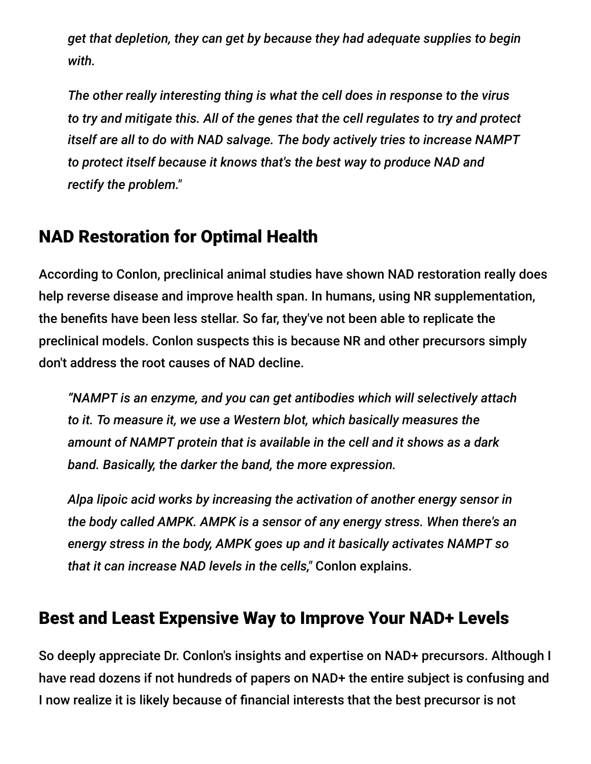*get that depletion, they can get by because they had adequate supplies to begin with.*

*The other really interesting thing is what the cell does in response to the virus to try and mitigate this. All of the genes that the cell regulates to try and protect itself are all to do with NAD salvage. The body actively tries to increase NAMPT to protect itself because it knows that's the best way to produce NAD and rectify the problem."*

## NAD Restoration for Optimal Health

According to Conlon, preclinical animal studies have shown NAD restoration really does help reverse disease and improve health span. In humans, using NR supplementation, the benefits have been less stellar. So far, they've not been able to replicate the preclinical models. Conlon suspects this is because NR and other precursors simply don't address the root causes of NAD decline.

*"NAMPT is an enzyme, and you can get antibodies which will selectively attach to it. To measure it, we use a Western blot, which basically measures the amount of NAMPT protein that is available in the cell and it shows as a dark band. Basically, the darker the band, the more expression.*

*Alpa lipoic acid works by increasing the activation of another energy sensor in the body called AMPK. AMPK is a sensor of any energy stress. When there's an energy stress in the body, AMPK goes up and it basically activates NAMPT so that it can increase NAD levels in the cells,"* Conlon explains.

## Best and Least Expensive Way to Improve Your NAD+ Levels

So deeply appreciate Dr. Conlon's insights and expertise on NAD+ precursors. Although I have read dozens if not hundreds of papers on NAD+ the entire subject is confusing and I now realize it is likely because of financial interests that the best precursor is not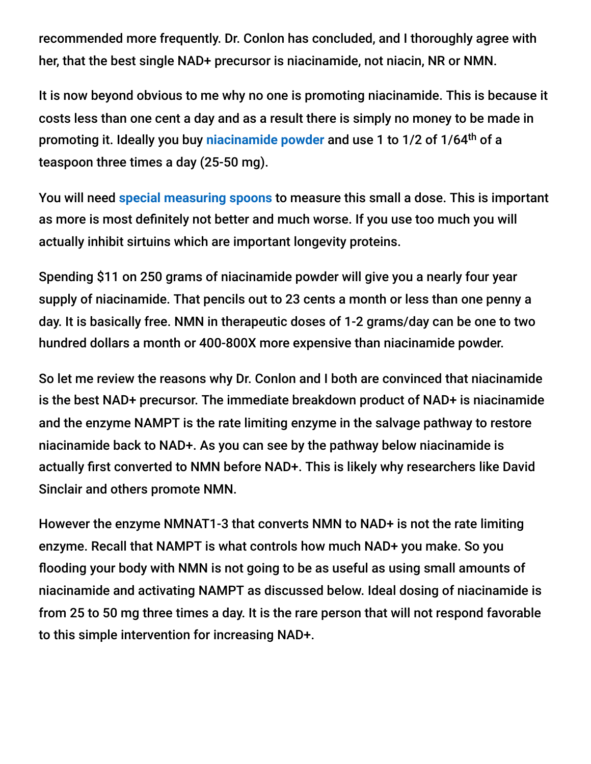recommended more frequently. Dr. Conlon has concluded, and I thoroughly agree with her, that the best single NAD+ precursor is niacinamide, not niacin, NR or NMN.

It is now beyond obvious to me why no one is promoting niacinamide. This is because it costs less than one cent a day and as a result there is simply no money to be made in promoting it. Ideally you buy [niacinamide powder](https://www.amazon.com/gp/product/B07SKLQRV6/ref=ppx_yo_dt_b_asin_title_o01_s00) and use 1 to 1/2 of 1/64<sup>th</sup> of a teaspoon three times a day (25-50 mg).

You will need **[special measuring spoons](https://smile.amazon.com/gp/product/B00KH9PSNI/ref=ppx_yo_dt_b_asin_title_o00_s00)** to measure this small a dose. This is important as more is most definitely not better and much worse. If you use too much you will actually inhibit sirtuins which are important longevity proteins.

Spending \$11 on 250 grams of niacinamide powder will give you a nearly four year supply of niacinamide. That pencils out to 23 cents a month or less than one penny a day. It is basically free. NMN in therapeutic doses of 1-2 grams/day can be one to two hundred dollars a month or 400-800X more expensive than niacinamide powder.

So let me review the reasons why Dr. Conlon and I both are convinced that niacinamide is the best NAD+ precursor. The immediate breakdown product of NAD+ is niacinamide and the enzyme NAMPT is the rate limiting enzyme in the salvage pathway to restore niacinamide back to NAD+. As you can see by the pathway below niacinamide is actually first converted to NMN before NAD+. This is likely why researchers like David Sinclair and others promote NMN.

However the enzyme NMNAT1-3 that converts NMN to NAD+ is not the rate limiting enzyme. Recall that NAMPT is what controls how much NAD+ you make. So you flooding your body with NMN is not going to be as useful as using small amounts of niacinamide and activating NAMPT as discussed below. Ideal dosing of niacinamide is from 25 to 50 mg three times a day. It is the rare person that will not respond favorable to this simple intervention for increasing NAD+.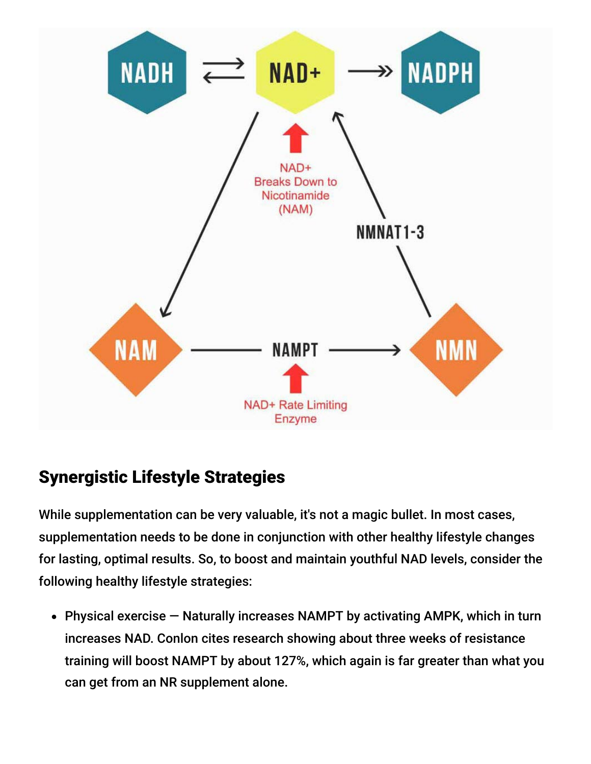

## Synergistic Lifestyle Strategies

While supplementation can be very valuable, it's not a magic bullet. In most cases, supplementation needs to be done in conjunction with other healthy lifestyle changes for lasting, optimal results. So, to boost and maintain youthful NAD levels, consider the following healthy lifestyle strategies:

Physical exercise — Naturally increases NAMPT by activating AMPK, which in turn increases NAD. Conlon cites research showing about three weeks of resistance training will boost NAMPT by about 127%, which again is far greater than what you can get from an NR supplement alone.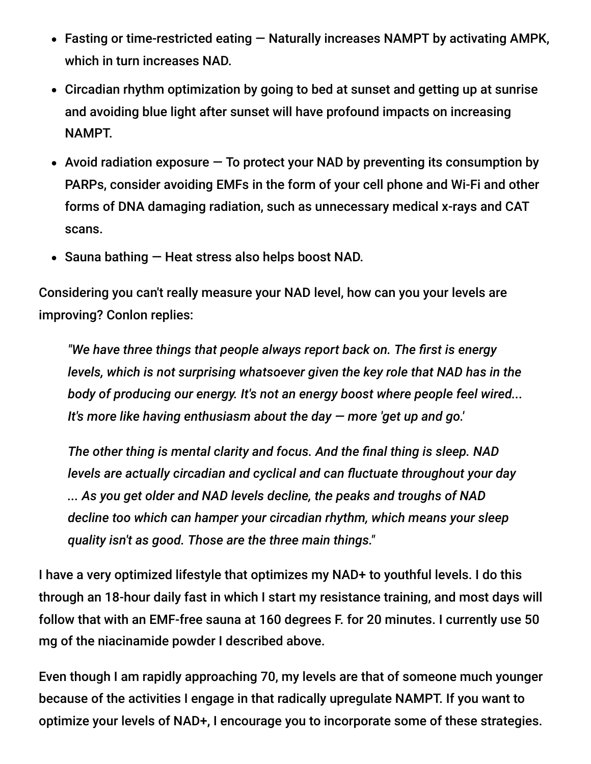- Fasting or time-restricted eating Naturally increases NAMPT by activating AMPK, which in turn increases NAD.
- Circadian rhythm optimization by going to bed at sunset and getting up at sunrise and avoiding blue light after sunset will have profound impacts on increasing NAMPT.
- Avoid radiation exposure  $-$  To protect your NAD by preventing its consumption by PARPs, consider avoiding EMFs in the form of your cell phone and Wi-Fi and other forms of DNA damaging radiation, such as unnecessary medical x-rays and CAT scans.
- Sauna bathing Heat stress also helps boost NAD.

Considering you can't really measure your NAD level, how can you your levels are improving? Conlon replies:

*"We have three things that people always report back on. The first is energy levels, which is not surprising whatsoever given the key role that NAD has in the body of producing our energy. It's not an energy boost where people feel wired... It's more like having enthusiasm about the day — more 'get up and go.'*

*The other thing is mental clarity and focus. And the final thing is sleep. NAD levels are actually circadian and cyclical and can fluctuate throughout your day ... As you get older and NAD levels decline, the peaks and troughs of NAD decline too which can hamper your circadian rhythm, which means your sleep quality isn't as good. Those are the three main things."*

I have a very optimized lifestyle that optimizes my NAD+ to youthful levels. I do this through an 18-hour daily fast in which I start my resistance training, and most days will follow that with an EMF-free sauna at 160 degrees F. for 20 minutes. I currently use 50 mg of the niacinamide powder I described above.

Even though I am rapidly approaching 70, my levels are that of someone much younger because of the activities I engage in that radically upregulate NAMPT. If you want to optimize your levels of NAD+, I encourage you to incorporate some of these strategies.